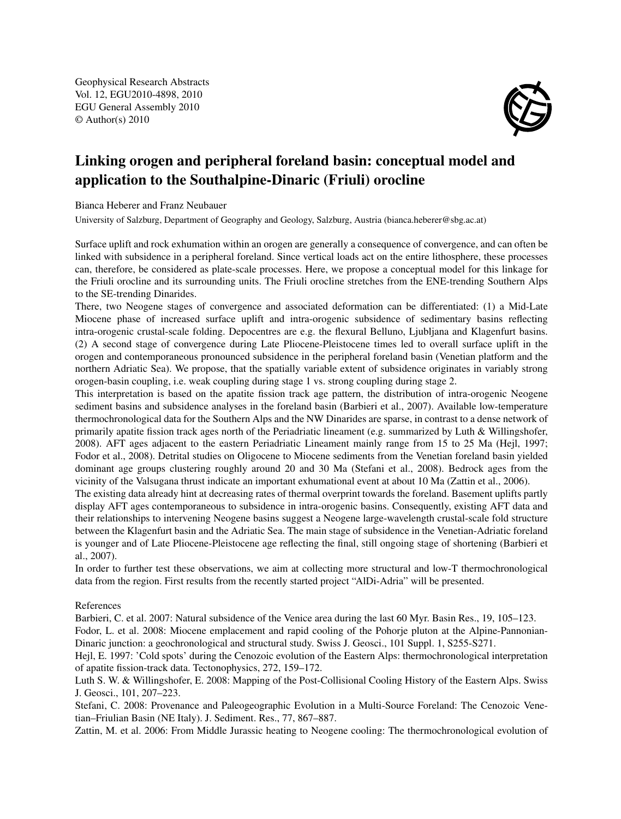Geophysical Research Abstracts Vol. 12, EGU2010-4898, 2010 EGU General Assembly 2010 © Author(s) 2010



## Linking orogen and peripheral foreland basin: conceptual model and application to the Southalpine-Dinaric (Friuli) orocline

Bianca Heberer and Franz Neubauer

University of Salzburg, Department of Geography and Geology, Salzburg, Austria (bianca.heberer@sbg.ac.at)

Surface uplift and rock exhumation within an orogen are generally a consequence of convergence, and can often be linked with subsidence in a peripheral foreland. Since vertical loads act on the entire lithosphere, these processes can, therefore, be considered as plate-scale processes. Here, we propose a conceptual model for this linkage for the Friuli orocline and its surrounding units. The Friuli orocline stretches from the ENE-trending Southern Alps to the SE-trending Dinarides.

There, two Neogene stages of convergence and associated deformation can be differentiated: (1) a Mid-Late Miocene phase of increased surface uplift and intra-orogenic subsidence of sedimentary basins reflecting intra-orogenic crustal-scale folding. Depocentres are e.g. the flexural Belluno, Ljubljana and Klagenfurt basins. (2) A second stage of convergence during Late Pliocene-Pleistocene times led to overall surface uplift in the orogen and contemporaneous pronounced subsidence in the peripheral foreland basin (Venetian platform and the northern Adriatic Sea). We propose, that the spatially variable extent of subsidence originates in variably strong orogen-basin coupling, i.e. weak coupling during stage 1 vs. strong coupling during stage 2.

This interpretation is based on the apatite fission track age pattern, the distribution of intra-orogenic Neogene sediment basins and subsidence analyses in the foreland basin (Barbieri et al., 2007). Available low-temperature thermochronological data for the Southern Alps and the NW Dinarides are sparse, in contrast to a dense network of primarily apatite fission track ages north of the Periadriatic lineament (e.g. summarized by Luth & Willingshofer, 2008). AFT ages adjacent to the eastern Periadriatic Lineament mainly range from 15 to 25 Ma (Hejl, 1997; Fodor et al., 2008). Detrital studies on Oligocene to Miocene sediments from the Venetian foreland basin yielded dominant age groups clustering roughly around 20 and 30 Ma (Stefani et al., 2008). Bedrock ages from the vicinity of the Valsugana thrust indicate an important exhumational event at about 10 Ma (Zattin et al., 2006).

The existing data already hint at decreasing rates of thermal overprint towards the foreland. Basement uplifts partly display AFT ages contemporaneous to subsidence in intra-orogenic basins. Consequently, existing AFT data and their relationships to intervening Neogene basins suggest a Neogene large-wavelength crustal-scale fold structure between the Klagenfurt basin and the Adriatic Sea. The main stage of subsidence in the Venetian-Adriatic foreland is younger and of Late Pliocene-Pleistocene age reflecting the final, still ongoing stage of shortening (Barbieri et al., 2007).

In order to further test these observations, we aim at collecting more structural and low-T thermochronological data from the region. First results from the recently started project "AlDi-Adria" will be presented.

## References

Barbieri, C. et al. 2007: Natural subsidence of the Venice area during the last 60 Myr. Basin Res., 19, 105–123.

Fodor, L. et al. 2008: Miocene emplacement and rapid cooling of the Pohorje pluton at the Alpine-Pannonian-Dinaric junction: a geochronological and structural study. Swiss J. Geosci., 101 Suppl. 1, S255-S271.

Hejl, E. 1997: 'Cold spots' during the Cenozoic evolution of the Eastern Alps: thermochronological interpretation of apatite fission-track data. Tectonophysics, 272, 159–172.

Luth S. W. & Willingshofer, E. 2008: Mapping of the Post-Collisional Cooling History of the Eastern Alps. Swiss J. Geosci., 101, 207–223.

Stefani, C. 2008: Provenance and Paleogeographic Evolution in a Multi-Source Foreland: The Cenozoic Venetian–Friulian Basin (NE Italy). J. Sediment. Res., 77, 867–887.

Zattin, M. et al. 2006: From Middle Jurassic heating to Neogene cooling: The thermochronological evolution of